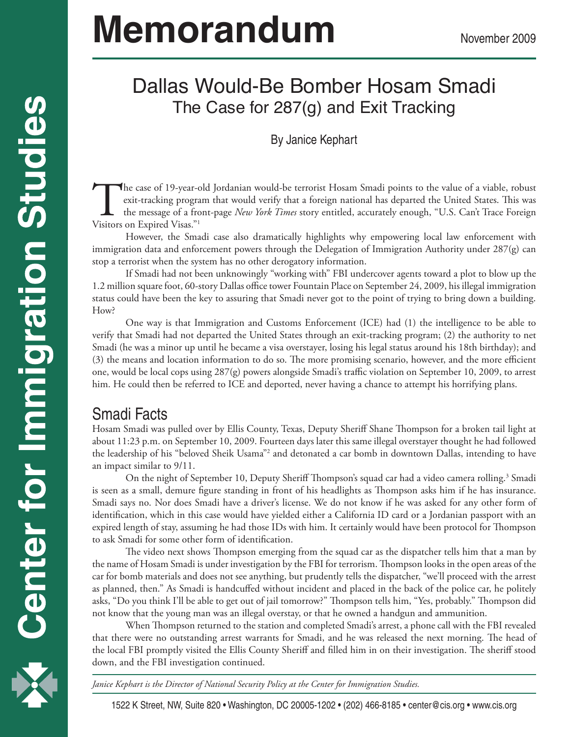# **Memorandum** November 2009

## Dallas Would-Be Bomber Hosam Smadi The Case for 287(g) and Exit Tracking

#### By Janice Kephart

The case of 19-year-old Jordanian would-be terrorist Hosam Smadi points to the value of a viable, robust exit-tracking program that would verify that a foreign national has departed the United States. This was the message exit-tracking program that would verify that a foreign national has departed the United States. This was the message of a front-page *New York Times* story entitled, accurately enough, "U.S. Can't Trace Foreign Visitors on Expired Visas."1

However, the Smadi case also dramatically highlights why empowering local law enforcement with immigration data and enforcement powers through the Delegation of Immigration Authority under 287(g) can stop a terrorist when the system has no other derogatory information.

If Smadi had not been unknowingly "working with" FBI undercover agents toward a plot to blow up the 1.2 million square foot, 60-story Dallas office tower Fountain Place on September 24, 2009, his illegal immigration status could have been the key to assuring that Smadi never got to the point of trying to bring down a building. How?

One way is that Immigration and Customs Enforcement (ICE) had (1) the intelligence to be able to verify that Smadi had not departed the United States through an exit-tracking program; (2) the authority to net Smadi (he was a minor up until he became a visa overstayer, losing his legal status around his 18th birthday); and (3) the means and location information to do so. The more promising scenario, however, and the more efficient one, would be local cops using 287(g) powers alongside Smadi's traffic violation on September 10, 2009, to arrest him. He could then be referred to ICE and deported, never having a chance to attempt his horrifying plans.

## Smadi Facts

Hosam Smadi was pulled over by Ellis County, Texas, Deputy Sheriff Shane Thompson for a broken tail light at about 11:23 p.m. on September 10, 2009. Fourteen days later this same illegal overstayer thought he had followed the leadership of his "beloved Sheik Usama"2 and detonated a car bomb in downtown Dallas, intending to have an impact similar to 9/11.

On the night of September 10, Deputy Sheriff Thompson's squad car had a video camera rolling.<sup>3</sup> Smadi is seen as a small, demure figure standing in front of his headlights as Thompson asks him if he has insurance. Smadi says no. Nor does Smadi have a driver's license. We do not know if he was asked for any other form of identification, which in this case would have yielded either a California ID card or a Jordanian passport with an expired length of stay, assuming he had those IDs with him. It certainly would have been protocol for Thompson to ask Smadi for some other form of identification.

The video next shows Thompson emerging from the squad car as the dispatcher tells him that a man by the name of Hosam Smadi is under investigation by the FBI for terrorism. Thompson looks in the open areas of the car for bomb materials and does not see anything, but prudently tells the dispatcher, "we'll proceed with the arrest as planned, then." As Smadi is handcuffed without incident and placed in the back of the police car, he politely asks, "Do you think I'll be able to get out of jail tomorrow?" Thompson tells him, "Yes, probably." Thompson did not know that the young man was an illegal overstay, or that he owned a handgun and ammunition.

When Thompson returned to the station and completed Smadi's arrest, a phone call with the FBI revealed that there were no outstanding arrest warrants for Smadi, and he was released the next morning. The head of the local FBI promptly visited the Ellis County Sheriff and filled him in on their investigation. The sheriff stood down, and the FBI investigation continued.

*Janice Kephart is the Director of National Security Policy at the Center for Immigration Studies.*



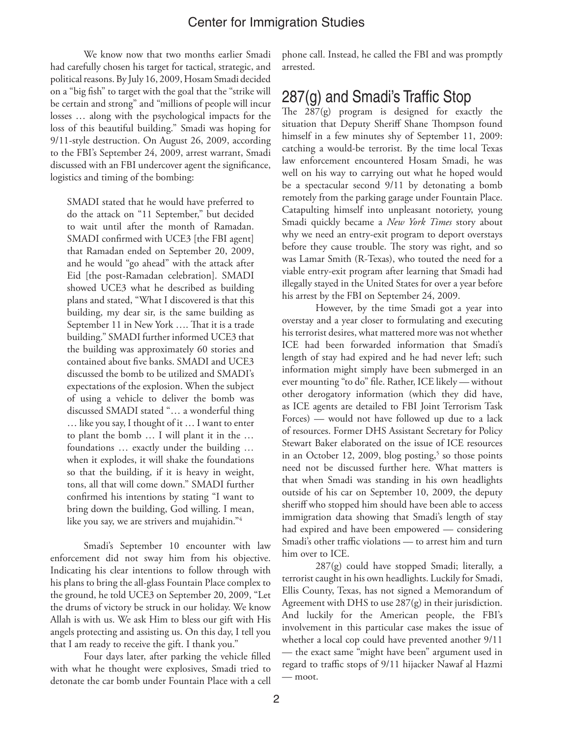We know now that two months earlier Smadi had carefully chosen his target for tactical, strategic, and political reasons. By July 16, 2009, Hosam Smadi decided on a "big fish" to target with the goal that the "strike will be certain and strong" and "millions of people will incur losses … along with the psychological impacts for the loss of this beautiful building." Smadi was hoping for 9/11-style destruction. On August 26, 2009, according to the FBI's September 24, 2009, arrest warrant, Smadi discussed with an FBI undercover agent the significance, logistics and timing of the bombing:

SMADI stated that he would have preferred to do the attack on "11 September," but decided to wait until after the month of Ramadan. SMADI confirmed with UCE3 [the FBI agent] that Ramadan ended on September 20, 2009, and he would "go ahead" with the attack after Eid [the post-Ramadan celebration]. SMADI showed UCE3 what he described as building plans and stated, "What I discovered is that this building, my dear sir, is the same building as September 11 in New York …. That it is a trade building." SMADI further informed UCE3 that the building was approximately 60 stories and contained about five banks. SMADI and UCE3 discussed the bomb to be utilized and SMADI's expectations of the explosion. When the subject of using a vehicle to deliver the bomb was discussed SMADI stated "… a wonderful thing … like you say, I thought of it … I want to enter to plant the bomb … I will plant it in the … foundations … exactly under the building … when it explodes, it will shake the foundations so that the building, if it is heavy in weight, tons, all that will come down." SMADI further confirmed his intentions by stating "I want to bring down the building, God willing. I mean, like you say, we are strivers and mujahidin."4

Smadi's September 10 encounter with law enforcement did not sway him from his objective. Indicating his clear intentions to follow through with his plans to bring the all-glass Fountain Place complex to the ground, he told UCE3 on September 20, 2009, "Let the drums of victory be struck in our holiday. We know Allah is with us. We ask Him to bless our gift with His angels protecting and assisting us. On this day, I tell you that I am ready to receive the gift. I thank you."

Four days later, after parking the vehicle filled with what he thought were explosives, Smadi tried to detonate the car bomb under Fountain Place with a cell

phone call. Instead, he called the FBI and was promptly arrested.

## 287(g) and Smadi's Traffic Stop

The 287(g) program is designed for exactly the situation that Deputy Sheriff Shane Thompson found himself in a few minutes shy of September 11, 2009: catching a would-be terrorist. By the time local Texas law enforcement encountered Hosam Smadi, he was well on his way to carrying out what he hoped would be a spectacular second 9/11 by detonating a bomb remotely from the parking garage under Fountain Place. Catapulting himself into unpleasant notoriety, young Smadi quickly became a *New York Times* story about why we need an entry-exit program to deport overstays before they cause trouble. The story was right, and so was Lamar Smith (R-Texas), who touted the need for a viable entry-exit program after learning that Smadi had illegally stayed in the United States for over a year before his arrest by the FBI on September 24, 2009.

However, by the time Smadi got a year into overstay and a year closer to formulating and executing his terrorist desires, what mattered more was not whether ICE had been forwarded information that Smadi's length of stay had expired and he had never left; such information might simply have been submerged in an ever mounting "to do" file. Rather, ICE likely — without other derogatory information (which they did have, as ICE agents are detailed to FBI Joint Terrorism Task Forces) — would not have followed up due to a lack of resources. Former DHS Assistant Secretary for Policy Stewart Baker elaborated on the issue of ICE resources in an October 12, 2009, blog posting,<sup>5</sup> so those points need not be discussed further here. What matters is that when Smadi was standing in his own headlights outside of his car on September 10, 2009, the deputy sheriff who stopped him should have been able to access immigration data showing that Smadi's length of stay had expired and have been empowered — considering Smadi's other traffic violations — to arrest him and turn him over to ICE.

287(g) could have stopped Smadi; literally, a terrorist caught in his own headlights. Luckily for Smadi, Ellis County, Texas, has not signed a Memorandum of Agreement with DHS to use 287(g) in their jurisdiction. And luckily for the American people, the FBI's involvement in this particular case makes the issue of whether a local cop could have prevented another 9/11 — the exact same "might have been" argument used in regard to traffic stops of 9/11 hijacker Nawaf al Hazmi — moot.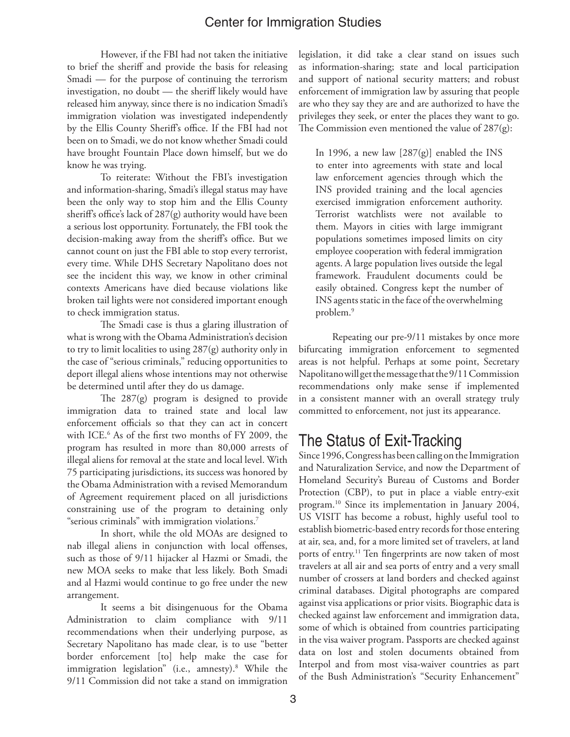However, if the FBI had not taken the initiative to brief the sheriff and provide the basis for releasing Smadi — for the purpose of continuing the terrorism investigation, no doubt — the sheriff likely would have released him anyway, since there is no indication Smadi's immigration violation was investigated independently by the Ellis County Sheriff's office. If the FBI had not been on to Smadi, we do not know whether Smadi could have brought Fountain Place down himself, but we do know he was trying.

To reiterate: Without the FBI's investigation and information-sharing, Smadi's illegal status may have been the only way to stop him and the Ellis County sheriff's office's lack of 287(g) authority would have been a serious lost opportunity. Fortunately, the FBI took the decision-making away from the sheriff's office. But we cannot count on just the FBI able to stop every terrorist, every time. While DHS Secretary Napolitano does not see the incident this way, we know in other criminal contexts Americans have died because violations like broken tail lights were not considered important enough to check immigration status.

The Smadi case is thus a glaring illustration of what is wrong with the Obama Administration's decision to try to limit localities to using 287(g) authority only in the case of "serious criminals," reducing opportunities to deport illegal aliens whose intentions may not otherwise be determined until after they do us damage.

The 287(g) program is designed to provide immigration data to trained state and local law enforcement officials so that they can act in concert with ICE.6 As of the first two months of FY 2009, the program has resulted in more than 80,000 arrests of illegal aliens for removal at the state and local level. With 75 participating jurisdictions, its success was honored by the Obama Administration with a revised Memorandum of Agreement requirement placed on all jurisdictions constraining use of the program to detaining only "serious criminals" with immigration violations.7

In short, while the old MOAs are designed to nab illegal aliens in conjunction with local offenses, such as those of 9/11 hijacker al Hazmi or Smadi, the new MOA seeks to make that less likely. Both Smadi and al Hazmi would continue to go free under the new arrangement.

It seems a bit disingenuous for the Obama Administration to claim compliance with 9/11 recommendations when their underlying purpose, as Secretary Napolitano has made clear, is to use "better border enforcement [to] help make the case for immigration legislation" (i.e., amnesty).8 While the 9/11 Commission did not take a stand on immigration

legislation, it did take a clear stand on issues such as information-sharing; state and local participation and support of national security matters; and robust enforcement of immigration law by assuring that people are who they say they are and are authorized to have the privileges they seek, or enter the places they want to go. The Commission even mentioned the value of 287(g):

In 1996, a new law  $[287(g)]$  enabled the INS to enter into agreements with state and local law enforcement agencies through which the INS provided training and the local agencies exercised immigration enforcement authority. Terrorist watchlists were not available to them. Mayors in cities with large immigrant populations sometimes imposed limits on city employee cooperation with federal immigration agents. A large population lives outside the legal framework. Fraudulent documents could be easily obtained. Congress kept the number of INS agents static in the face of the overwhelming problem.9

Repeating our pre-9/11 mistakes by once more bifurcating immigration enforcement to segmented areas is not helpful. Perhaps at some point, Secretary Napolitano will get the message that the 9/11 Commission recommendations only make sense if implemented in a consistent manner with an overall strategy truly committed to enforcement, not just its appearance.

## The Status of Exit-Tracking

Since 1996, Congress has been calling on the Immigration and Naturalization Service, and now the Department of Homeland Security's Bureau of Customs and Border Protection (CBP), to put in place a viable entry-exit program.10 Since its implementation in January 2004, US VISIT has become a robust, highly useful tool to establish biometric-based entry records for those entering at air, sea, and, for a more limited set of travelers, at land ports of entry.<sup>11</sup> Ten fingerprints are now taken of most travelers at all air and sea ports of entry and a very small number of crossers at land borders and checked against criminal databases. Digital photographs are compared against visa applications or prior visits. Biographic data is checked against law enforcement and immigration data, some of which is obtained from countries participating in the visa waiver program. Passports are checked against data on lost and stolen documents obtained from Interpol and from most visa-waiver countries as part of the Bush Administration's "Security Enhancement"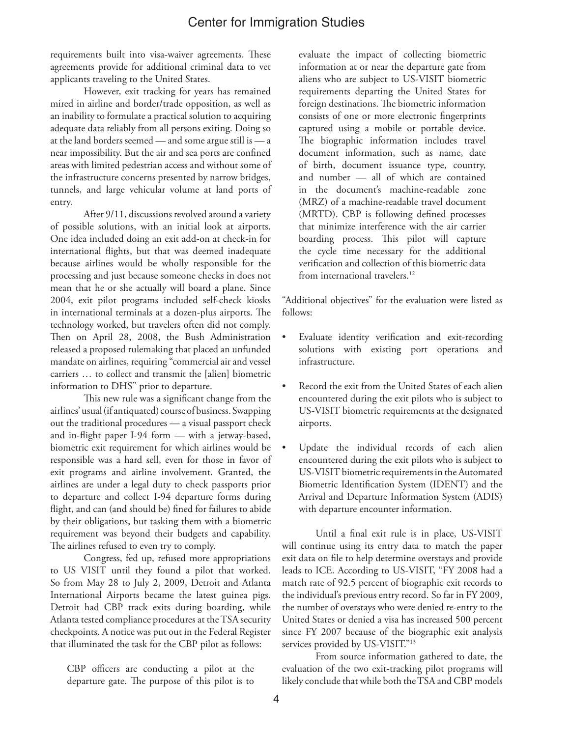requirements built into visa-waiver agreements. These agreements provide for additional criminal data to vet applicants traveling to the United States.

However, exit tracking for years has remained mired in airline and border/trade opposition, as well as an inability to formulate a practical solution to acquiring adequate data reliably from all persons exiting. Doing so at the land borders seemed — and some argue still is — a near impossibility. But the air and sea ports are confined areas with limited pedestrian access and without some of the infrastructure concerns presented by narrow bridges, tunnels, and large vehicular volume at land ports of entry.

After 9/11, discussions revolved around a variety of possible solutions, with an initial look at airports. One idea included doing an exit add-on at check-in for international flights, but that was deemed inadequate because airlines would be wholly responsible for the processing and just because someone checks in does not mean that he or she actually will board a plane. Since 2004, exit pilot programs included self-check kiosks in international terminals at a dozen-plus airports. The technology worked, but travelers often did not comply. Then on April 28, 2008, the Bush Administration released a proposed rulemaking that placed an unfunded mandate on airlines, requiring "commercial air and vessel carriers … to collect and transmit the [alien] biometric information to DHS" prior to departure.

This new rule was a significant change from the airlines' usual (if antiquated) course of business. Swapping out the traditional procedures — a visual passport check and in-flight paper I-94 form — with a jetway-based, biometric exit requirement for which airlines would be responsible was a hard sell, even for those in favor of exit programs and airline involvement. Granted, the airlines are under a legal duty to check passports prior to departure and collect I-94 departure forms during flight, and can (and should be) fined for failures to abide by their obligations, but tasking them with a biometric requirement was beyond their budgets and capability. The airlines refused to even try to comply.

Congress, fed up, refused more appropriations to US VISIT until they found a pilot that worked. So from May 28 to July 2, 2009, Detroit and Atlanta International Airports became the latest guinea pigs. Detroit had CBP track exits during boarding, while Atlanta tested compliance procedures at the TSA security checkpoints. A notice was put out in the Federal Register that illuminated the task for the CBP pilot as follows:

CBP officers are conducting a pilot at the departure gate. The purpose of this pilot is to

evaluate the impact of collecting biometric information at or near the departure gate from aliens who are subject to US-VISIT biometric requirements departing the United States for foreign destinations. The biometric information consists of one or more electronic fingerprints captured using a mobile or portable device. The biographic information includes travel document information, such as name, date of birth, document issuance type, country, and number — all of which are contained in the document's machine-readable zone (MRZ) of a machine-readable travel document (MRTD). CBP is following defined processes that minimize interference with the air carrier boarding process. This pilot will capture the cycle time necessary for the additional verification and collection of this biometric data from international travelers.<sup>12</sup>

"Additional objectives" for the evaluation were listed as follows:

- Evaluate identity verification and exit-recording solutions with existing port operations and infrastructure.
- Record the exit from the United States of each alien encountered during the exit pilots who is subject to US-VISIT biometric requirements at the designated airports.
- Update the individual records of each alien encountered during the exit pilots who is subject to US-VISIT biometric requirements in the Automated Biometric Identification System (IDENT) and the Arrival and Departure Information System (ADIS) with departure encounter information.

Until a final exit rule is in place, US-VISIT will continue using its entry data to match the paper exit data on file to help determine overstays and provide leads to ICE. According to US-VISIT, "FY 2008 had a match rate of 92.5 percent of biographic exit records to the individual's previous entry record. So far in FY 2009, the number of overstays who were denied re-entry to the United States or denied a visa has increased 500 percent since FY 2007 because of the biographic exit analysis services provided by US-VISIT."<sup>13</sup>

From source information gathered to date, the evaluation of the two exit-tracking pilot programs will likely conclude that while both the TSA and CBP models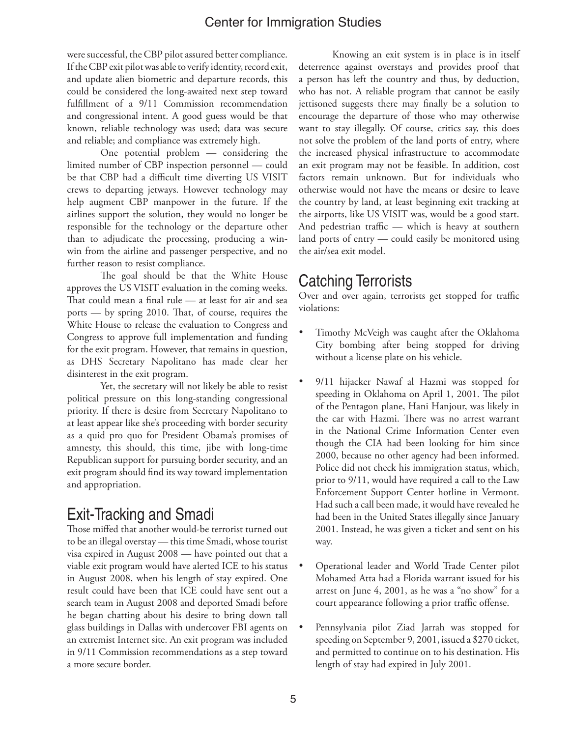were successful, the CBP pilot assured better compliance. If the CBP exit pilot was able to verify identity, record exit, and update alien biometric and departure records, this could be considered the long-awaited next step toward fulfillment of a 9/11 Commission recommendation and congressional intent. A good guess would be that known, reliable technology was used; data was secure and reliable; and compliance was extremely high.

One potential problem — considering the limited number of CBP inspection personnel — could be that CBP had a difficult time diverting US VISIT crews to departing jetways. However technology may help augment CBP manpower in the future. If the airlines support the solution, they would no longer be responsible for the technology or the departure other than to adjudicate the processing, producing a winwin from the airline and passenger perspective, and no further reason to resist compliance.

The goal should be that the White House approves the US VISIT evaluation in the coming weeks. That could mean a final rule — at least for air and sea ports — by spring 2010. That, of course, requires the White House to release the evaluation to Congress and Congress to approve full implementation and funding for the exit program. However, that remains in question, as DHS Secretary Napolitano has made clear her disinterest in the exit program.

Yet, the secretary will not likely be able to resist political pressure on this long-standing congressional priority. If there is desire from Secretary Napolitano to at least appear like she's proceeding with border security as a quid pro quo for President Obama's promises of amnesty, this should, this time, jibe with long-time Republican support for pursuing border security, and an exit program should find its way toward implementation and appropriation.

## Exit-Tracking and Smadi

Those miffed that another would-be terrorist turned out to be an illegal overstay — this time Smadi, whose tourist visa expired in August 2008 — have pointed out that a viable exit program would have alerted ICE to his status in August 2008, when his length of stay expired. One result could have been that ICE could have sent out a search team in August 2008 and deported Smadi before he began chatting about his desire to bring down tall glass buildings in Dallas with undercover FBI agents on an extremist Internet site. An exit program was included in 9/11 Commission recommendations as a step toward a more secure border.

Knowing an exit system is in place is in itself deterrence against overstays and provides proof that a person has left the country and thus, by deduction, who has not. A reliable program that cannot be easily jettisoned suggests there may finally be a solution to encourage the departure of those who may otherwise want to stay illegally. Of course, critics say, this does not solve the problem of the land ports of entry, where the increased physical infrastructure to accommodate an exit program may not be feasible. In addition, cost factors remain unknown. But for individuals who otherwise would not have the means or desire to leave the country by land, at least beginning exit tracking at the airports, like US VISIT was, would be a good start. And pedestrian traffic — which is heavy at southern land ports of entry — could easily be monitored using the air/sea exit model.

## Catching Terrorists

Over and over again, terrorists get stopped for traffic violations:

- Timothy McVeigh was caught after the Oklahoma City bombing after being stopped for driving without a license plate on his vehicle.
- 9/11 hijacker Nawaf al Hazmi was stopped for speeding in Oklahoma on April 1, 2001. The pilot of the Pentagon plane, Hani Hanjour, was likely in the car with Hazmi. There was no arrest warrant in the National Crime Information Center even though the CIA had been looking for him since 2000, because no other agency had been informed. Police did not check his immigration status, which, prior to 9/11, would have required a call to the Law Enforcement Support Center hotline in Vermont. Had such a call been made, it would have revealed he had been in the United States illegally since January 2001. Instead, he was given a ticket and sent on his way.
- Operational leader and World Trade Center pilot Mohamed Atta had a Florida warrant issued for his arrest on June 4, 2001, as he was a "no show" for a court appearance following a prior traffic offense.
- Pennsylvania pilot Ziad Jarrah was stopped for speeding on September 9, 2001, issued a \$270 ticket, and permitted to continue on to his destination. His length of stay had expired in July 2001.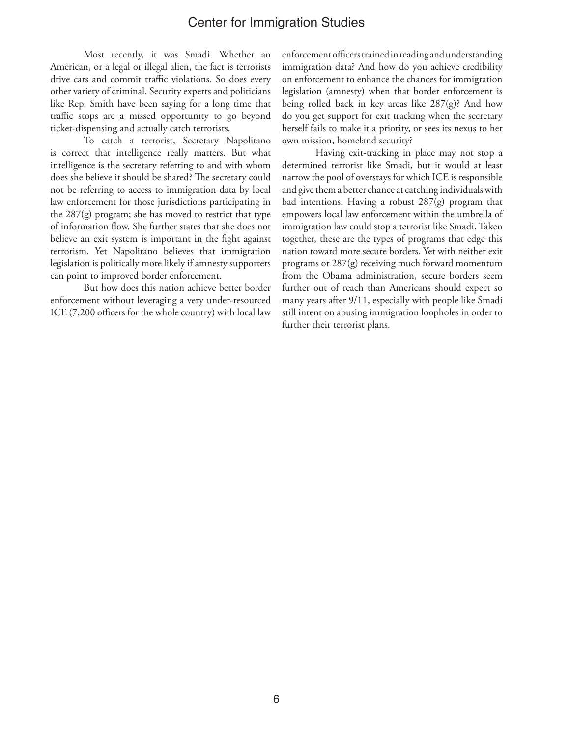Most recently, it was Smadi. Whether an American, or a legal or illegal alien, the fact is terrorists drive cars and commit traffic violations. So does every other variety of criminal. Security experts and politicians like Rep. Smith have been saying for a long time that traffic stops are a missed opportunity to go beyond ticket-dispensing and actually catch terrorists.

To catch a terrorist, Secretary Napolitano is correct that intelligence really matters. But what intelligence is the secretary referring to and with whom does she believe it should be shared? The secretary could not be referring to access to immigration data by local law enforcement for those jurisdictions participating in the 287(g) program; she has moved to restrict that type of information flow. She further states that she does not believe an exit system is important in the fight against terrorism. Yet Napolitano believes that immigration legislation is politically more likely if amnesty supporters can point to improved border enforcement.

But how does this nation achieve better border enforcement without leveraging a very under-resourced ICE (7,200 officers for the whole country) with local law

enforcement officers trained in reading and understanding immigration data? And how do you achieve credibility on enforcement to enhance the chances for immigration legislation (amnesty) when that border enforcement is being rolled back in key areas like  $287(g)$ ? And how do you get support for exit tracking when the secretary herself fails to make it a priority, or sees its nexus to her own mission, homeland security?

Having exit-tracking in place may not stop a determined terrorist like Smadi, but it would at least narrow the pool of overstays for which ICE is responsible and give them a better chance at catching individuals with bad intentions. Having a robust 287(g) program that empowers local law enforcement within the umbrella of immigration law could stop a terrorist like Smadi. Taken together, these are the types of programs that edge this nation toward more secure borders. Yet with neither exit programs or 287(g) receiving much forward momentum from the Obama administration, secure borders seem further out of reach than Americans should expect so many years after 9/11, especially with people like Smadi still intent on abusing immigration loopholes in order to further their terrorist plans.